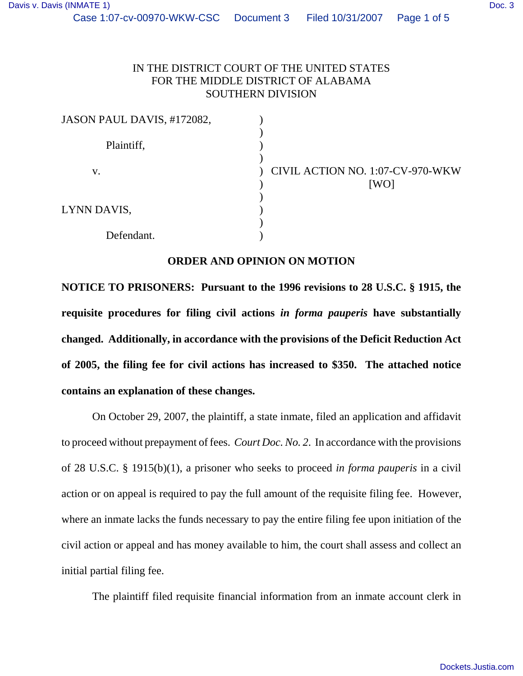| JASON PAUL DAVIS, #172082, |                                          |
|----------------------------|------------------------------------------|
| Plaintiff,                 |                                          |
| V.                         | CIVIL ACTION NO. 1:07-CV-970-WKW<br>[WO] |
| LYNN DAVIS,                |                                          |
| Defendant.                 |                                          |

## **ORDER AND OPINION ON MOTION**

**NOTICE TO PRISONERS: Pursuant to the 1996 revisions to 28 U.S.C. § 1915, the requisite procedures for filing civil actions** *in forma pauperis* **have substantially changed. Additionally, in accordance with the provisions of the Deficit Reduction Act of 2005, the filing fee for civil actions has increased to \$350. The attached notice contains an explanation of these changes.**

On October 29, 2007, the plaintiff, a state inmate, filed an application and affidavit to proceed without prepayment of fees. *Court Doc. No. 2*. In accordance with the provisions of 28 U.S.C. § 1915(b)(1), a prisoner who seeks to proceed *in forma pauperis* in a civil action or on appeal is required to pay the full amount of the requisite filing fee. However, where an inmate lacks the funds necessary to pay the entire filing fee upon initiation of the civil action or appeal and has money available to him, the court shall assess and collect an initial partial filing fee.

The plaintiff filed requisite financial information from an inmate account clerk in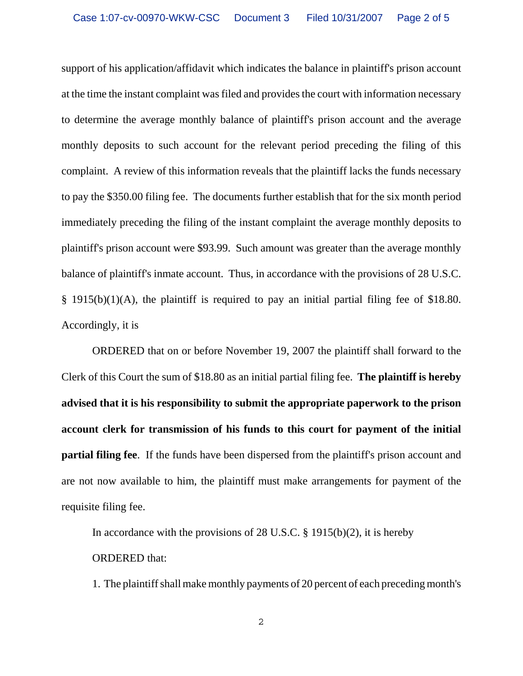support of his application/affidavit which indicates the balance in plaintiff's prison account at the time the instant complaint was filed and provides the court with information necessary to determine the average monthly balance of plaintiff's prison account and the average monthly deposits to such account for the relevant period preceding the filing of this complaint. A review of this information reveals that the plaintiff lacks the funds necessary to pay the \$350.00 filing fee. The documents further establish that for the six month period immediately preceding the filing of the instant complaint the average monthly deposits to plaintiff's prison account were \$93.99. Such amount was greater than the average monthly balance of plaintiff's inmate account. Thus, in accordance with the provisions of 28 U.S.C. § 1915(b)(1)(A), the plaintiff is required to pay an initial partial filing fee of \$18.80. Accordingly, it is

ORDERED that on or before November 19, 2007 the plaintiff shall forward to the Clerk of this Court the sum of \$18.80 as an initial partial filing fee. **The plaintiff is hereby advised that it is his responsibility to submit the appropriate paperwork to the prison account clerk for transmission of his funds to this court for payment of the initial partial filing fee**. If the funds have been dispersed from the plaintiff's prison account and are not now available to him, the plaintiff must make arrangements for payment of the requisite filing fee.

In accordance with the provisions of 28 U.S.C.  $\S$  1915(b)(2), it is hereby ORDERED that:

1. The plaintiff shall make monthly payments of 20 percent of each preceding month's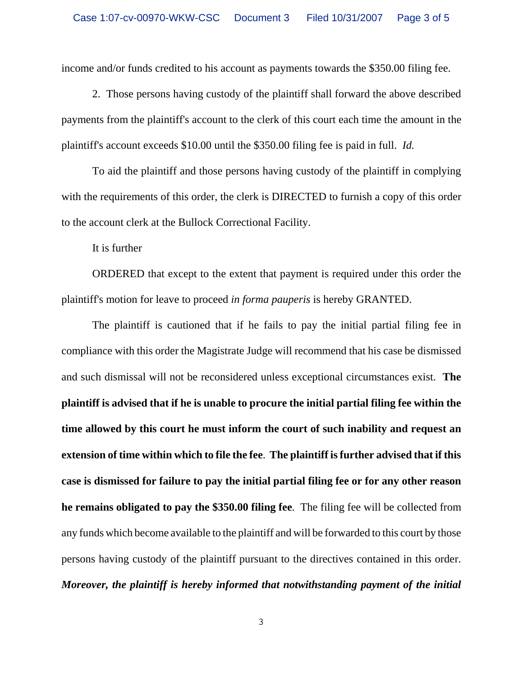income and/or funds credited to his account as payments towards the \$350.00 filing fee.

2. Those persons having custody of the plaintiff shall forward the above described payments from the plaintiff's account to the clerk of this court each time the amount in the plaintiff's account exceeds \$10.00 until the \$350.00 filing fee is paid in full. *Id.* 

To aid the plaintiff and those persons having custody of the plaintiff in complying with the requirements of this order, the clerk is DIRECTED to furnish a copy of this order to the account clerk at the Bullock Correctional Facility.

It is further

ORDERED that except to the extent that payment is required under this order the plaintiff's motion for leave to proceed *in forma pauperis* is hereby GRANTED.

The plaintiff is cautioned that if he fails to pay the initial partial filing fee in compliance with this order the Magistrate Judge will recommend that his case be dismissed and such dismissal will not be reconsidered unless exceptional circumstances exist. **The plaintiff is advised that if he is unable to procure the initial partial filing fee within the time allowed by this court he must inform the court of such inability and request an extension of time within which to file the fee**. **The plaintiff is further advised that if this case is dismissed for failure to pay the initial partial filing fee or for any other reason he remains obligated to pay the \$350.00 filing fee**. The filing fee will be collected from any funds which become available to the plaintiff and will be forwarded to this court by those persons having custody of the plaintiff pursuant to the directives contained in this order. *Moreover, the plaintiff is hereby informed that notwithstanding payment of the initial*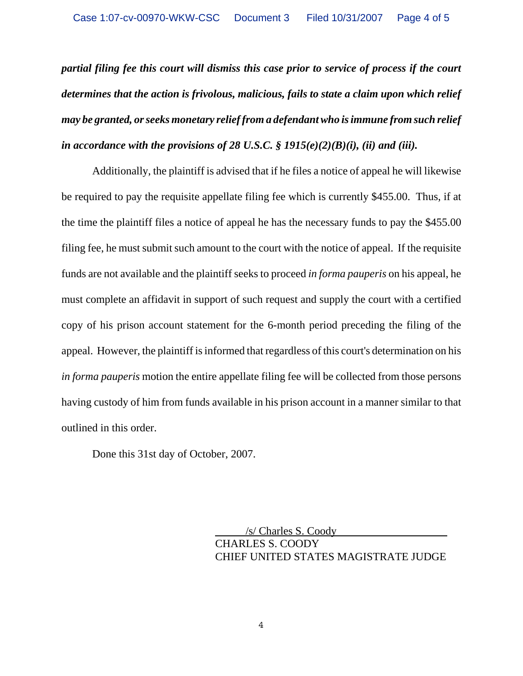*partial filing fee this court will dismiss this case prior to service of process if the court determines that the action is frivolous, malicious, fails to state a claim upon which relief may be granted, or seeks monetary relief from a defendant who is immune from such relief in accordance with the provisions of 28 U.S.C. § 1915(e)(2)(B)(i), (ii) and (iii).*

Additionally, the plaintiff is advised that if he files a notice of appeal he will likewise be required to pay the requisite appellate filing fee which is currently \$455.00. Thus, if at the time the plaintiff files a notice of appeal he has the necessary funds to pay the \$455.00 filing fee, he must submit such amount to the court with the notice of appeal. If the requisite funds are not available and the plaintiff seeks to proceed *in forma pauperis* on his appeal, he must complete an affidavit in support of such request and supply the court with a certified copy of his prison account statement for the 6-month period preceding the filing of the appeal. However, the plaintiff is informed that regardless of this court's determination on his *in forma pauperis* motion the entire appellate filing fee will be collected from those persons having custody of him from funds available in his prison account in a manner similar to that outlined in this order.

Done this 31st day of October, 2007.

 /s/ Charles S. Coody CHARLES S. COODY CHIEF UNITED STATES MAGISTRATE JUDGE